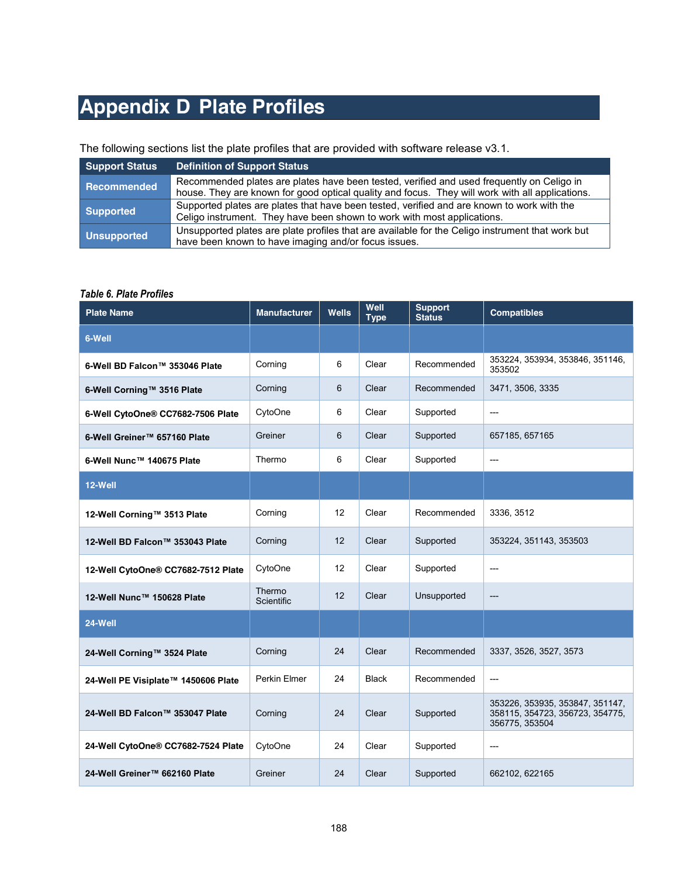## **Appendix D Plate Profiles**

## The following sections list the plate profiles that are provided with software release v3.1.

| <b>Support Status</b> | <b>Definition of Support Status</b>                                                                                                                                                          |
|-----------------------|----------------------------------------------------------------------------------------------------------------------------------------------------------------------------------------------|
| <b>Recommended</b>    | Recommended plates are plates have been tested, verified and used frequently on Celigo in<br>house. They are known for good optical quality and focus. They will work with all applications. |
| <b>Supported</b>      | Supported plates are plates that have been tested, verified and are known to work with the<br>Celigo instrument. They have been shown to work with most applications.                        |
| <b>Unsupported</b>    | Unsupported plates are plate profiles that are available for the Celigo instrument that work but<br>have been known to have imaging and/or focus issues.                                     |

## *Table 6. Plate Profiles*

| <b>Plate Name</b>                   | <b>Manufacturer</b>  | Wells | Well<br><b>Type</b> | <b>Support</b><br><b>Status</b> | <b>Compatibles</b>                                                                   |
|-------------------------------------|----------------------|-------|---------------------|---------------------------------|--------------------------------------------------------------------------------------|
| 6-Well                              |                      |       |                     |                                 |                                                                                      |
| 6-Well BD Falcon™ 353046 Plate      | Corning              | 6     | Clear               | Recommended                     | 353224, 353934, 353846, 351146,<br>353502                                            |
| 6-Well Corning™ 3516 Plate          | Corning              | 6     | Clear               | Recommended                     | 3471, 3506, 3335                                                                     |
| 6-Well CytoOne® CC7682-7506 Plate   | CytoOne              | 6     | Clear               | Supported                       | ---                                                                                  |
| 6-Well Greiner™ 657160 Plate        | Greiner              | 6     | Clear               | Supported                       | 657185, 657165                                                                       |
| 6-Well Nunc™ 140675 Plate           | Thermo               | 6     | Clear               | Supported                       | ---                                                                                  |
| 12-Well                             |                      |       |                     |                                 |                                                                                      |
| 12-Well Corning™ 3513 Plate         | Corning              | 12    | Clear               | Recommended                     | 3336, 3512                                                                           |
| 12-Well BD Falcon™ 353043 Plate     | Corning              | 12    | Clear               | Supported                       | 353224, 351143, 353503                                                               |
| 12-Well CytoOne® CC7682-7512 Plate  | CytoOne              | 12    | Clear               | Supported                       | ---                                                                                  |
| 12-Well Nunc™ 150628 Plate          | Thermo<br>Scientific | 12    | Clear               | Unsupported                     | ---                                                                                  |
| 24-Well                             |                      |       |                     |                                 |                                                                                      |
| 24-Well Corning™ 3524 Plate         | Corning              | 24    | Clear               | Recommended                     | 3337, 3526, 3527, 3573                                                               |
| 24-Well PE Visiplate™ 1450606 Plate | Perkin Elmer         | 24    | <b>Black</b>        | Recommended                     | ---                                                                                  |
| 24-Well BD Falcon™ 353047 Plate     | Corning              | 24    | Clear               | Supported                       | 353226, 353935, 353847, 351147,<br>358115, 354723, 356723, 354775,<br>356775, 353504 |
| 24-Well CytoOne® CC7682-7524 Plate  | CytoOne              | 24    | Clear               | Supported                       | ---                                                                                  |
| 24-Well Greiner™ 662160 Plate       | Greiner              | 24    | Clear               | Supported                       | 662102, 622165                                                                       |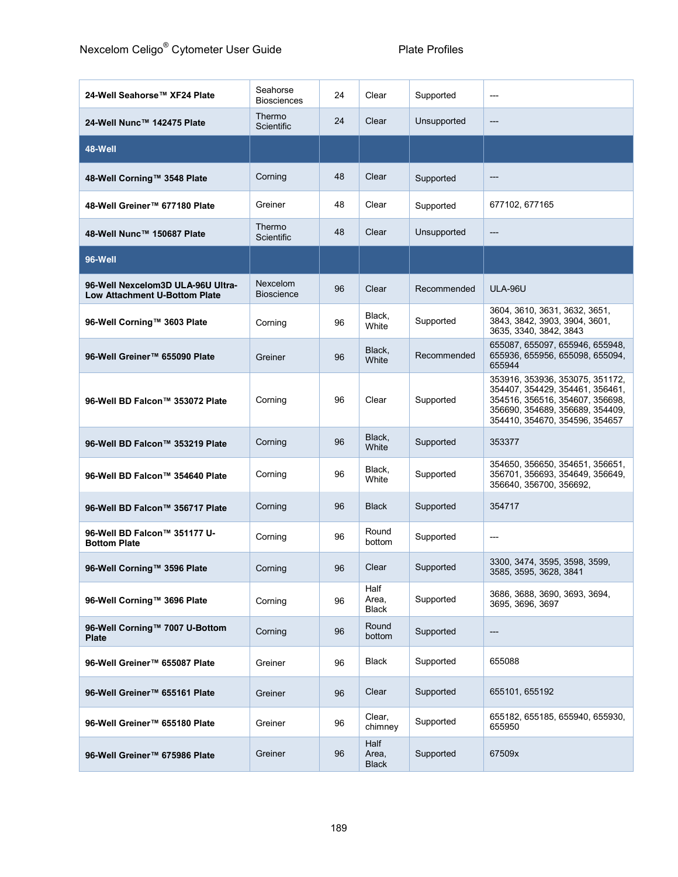| 24-Well Seahorse™ XF24 Plate                                              | Seahorse<br><b>Biosciences</b> | 24 | Clear                         | Supported   | ---                                                                                                                                                                        |
|---------------------------------------------------------------------------|--------------------------------|----|-------------------------------|-------------|----------------------------------------------------------------------------------------------------------------------------------------------------------------------------|
| 24-Well Nunc™ 142475 Plate                                                | Thermo<br>Scientific           | 24 | Clear                         | Unsupported | ---                                                                                                                                                                        |
| 48-Well                                                                   |                                |    |                               |             |                                                                                                                                                                            |
| 48-Well Corning™ 3548 Plate                                               | Corning                        | 48 | Clear                         | Supported   | ---                                                                                                                                                                        |
| 48-Well Greiner™ 677180 Plate                                             | Greiner                        | 48 | Clear                         | Supported   | 677102, 677165                                                                                                                                                             |
| 48-Well Nunc™ 150687 Plate                                                | Thermo<br><b>Scientific</b>    | 48 | Clear                         | Unsupported | ---                                                                                                                                                                        |
| 96-Well                                                                   |                                |    |                               |             |                                                                                                                                                                            |
| 96-Well Nexcelom3D ULA-96U Ultra-<br><b>Low Attachment U-Bottom Plate</b> | Nexcelom<br><b>Bioscience</b>  | 96 | Clear                         | Recommended | ULA-96U                                                                                                                                                                    |
| 96-Well Corning™ 3603 Plate                                               | Corning                        | 96 | Black,<br>White               | Supported   | 3604, 3610, 3631, 3632, 3651,<br>3843, 3842, 3903, 3904, 3601,<br>3635, 3340, 3842, 3843                                                                                   |
| 96-Well Greiner™ 655090 Plate                                             | Greiner                        | 96 | Black,<br>White               | Recommended | 655087, 655097, 655946, 655948,<br>655936, 655956, 655098, 655094,<br>655944                                                                                               |
| 96-Well BD Falcon™ 353072 Plate                                           | Corning                        | 96 | Clear                         | Supported   | 353916, 353936, 353075, 351172,<br>354407, 354429, 354461, 356461,<br>354516, 356516, 354607, 356698,<br>356690, 354689, 356689, 354409,<br>354410, 354670, 354596, 354657 |
| 96-Well BD Falcon™ 353219 Plate                                           | Corning                        | 96 | Black,<br>White               | Supported   | 353377                                                                                                                                                                     |
| 96-Well BD Falcon™ 354640 Plate                                           | Corning                        | 96 | Black,<br>White               | Supported   | 354650, 356650, 354651, 356651,<br>356701, 356693, 354649, 356649,<br>356640, 356700, 356692,                                                                              |
| 96-Well BD Falcon™ 356717 Plate                                           | Corning                        | 96 | <b>Black</b>                  | Supported   | 354717                                                                                                                                                                     |
| 96-Well BD Falcon™ 351177 U-<br><b>Bottom Plate</b>                       | Corning                        | 96 | Round<br>bottom               | Supported   | ---                                                                                                                                                                        |
| 96-Well Corning™ 3596 Plate                                               | Corning                        | 96 | Clear                         | Supported   | 3300, 3474, 3595, 3598, 3599,<br>3585, 3595, 3628, 3841                                                                                                                    |
| 96-Well Corning™ 3696 Plate                                               | Corning                        | 96 | Half<br>Area,<br><b>Black</b> | Supported   | 3686, 3688, 3690, 3693, 3694,<br>3695. 3696. 3697                                                                                                                          |
| 96-Well Corning™ 7007 U-Bottom<br><b>Plate</b>                            | Corning                        | 96 | Round<br>bottom               | Supported   | ---                                                                                                                                                                        |
| 96-Well Greiner™ 655087 Plate                                             | Greiner                        | 96 | <b>Black</b>                  | Supported   | 655088                                                                                                                                                                     |
| 96-Well Greiner™ 655161 Plate                                             | Greiner                        | 96 | Clear                         | Supported   | 655101, 655192                                                                                                                                                             |
| 96-Well Greiner™ 655180 Plate                                             | Greiner                        | 96 | Clear,<br>chimney             | Supported   | 655182, 655185, 655940, 655930,<br>655950                                                                                                                                  |
| 96-Well Greiner™ 675986 Plate                                             | Greiner                        | 96 | Half<br>Area,<br><b>Black</b> | Supported   | 67509x                                                                                                                                                                     |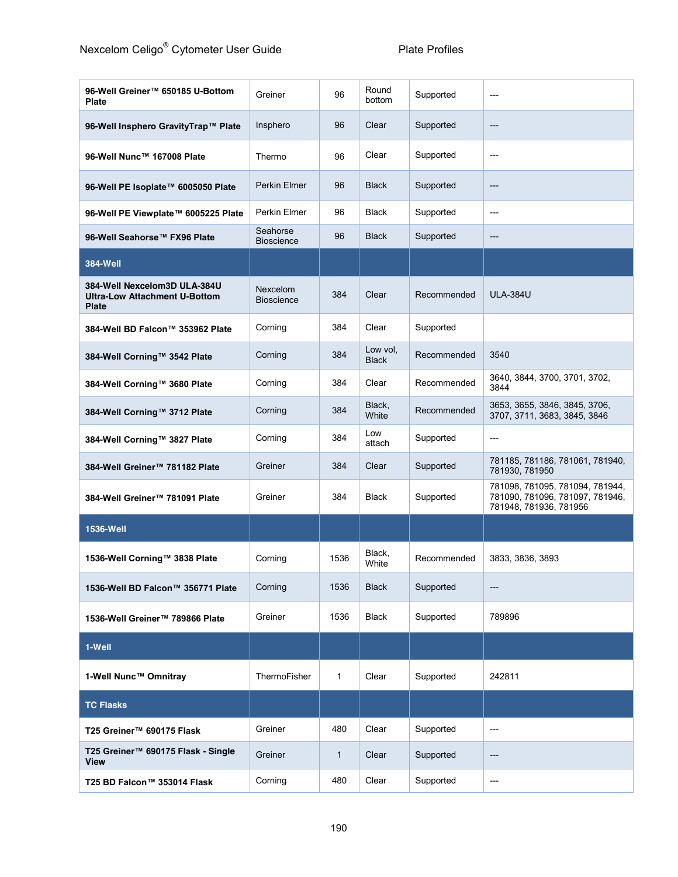| 96-Well Greiner™ 650185 U-Bottom<br><b>Plate</b>                                     | Greiner                       | 96           | Round<br>bottom          | Supported   | ---                                                                                          |
|--------------------------------------------------------------------------------------|-------------------------------|--------------|--------------------------|-------------|----------------------------------------------------------------------------------------------|
| 96-Well Insphero GravityTrap™ Plate                                                  | Insphero                      | 96           | Clear                    | Supported   | ---                                                                                          |
| 96-Well Nunc™ 167008 Plate                                                           | Thermo                        | 96           | Clear                    | Supported   | ---                                                                                          |
| 96-Well PE Isoplate™ 6005050 Plate                                                   | Perkin Elmer                  | 96           | <b>Black</b>             | Supported   | ---                                                                                          |
| 96-Well PE Viewplate™ 6005225 Plate                                                  | Perkin Elmer                  | 96           | <b>Black</b>             | Supported   | ---                                                                                          |
| 96-Well Seahorse™ FX96 Plate                                                         | Seahorse<br><b>Bioscience</b> | 96           | <b>Black</b>             | Supported   | ---                                                                                          |
| 384-Well                                                                             |                               |              |                          |             |                                                                                              |
| 384-Well Nexcelom3D ULA-384U<br><b>Ultra-Low Attachment U-Bottom</b><br><b>Plate</b> | Nexcelom<br><b>Bioscience</b> | 384          | Clear                    | Recommended | <b>ULA-384U</b>                                                                              |
| 384-Well BD Falcon™ 353962 Plate                                                     | Corning                       | 384          | Clear                    | Supported   |                                                                                              |
| 384-Well Corning™ 3542 Plate                                                         | Corning                       | 384          | Low vol.<br><b>Black</b> | Recommended | 3540                                                                                         |
| 384-Well Corning™ 3680 Plate                                                         | Corning                       | 384          | Clear                    | Recommended | 3640, 3844, 3700, 3701, 3702,<br>3844                                                        |
| 384-Well Corning™ 3712 Plate                                                         | Corning                       | 384          | Black,<br>White          | Recommended | 3653, 3655, 3846, 3845, 3706,<br>3707, 3711, 3683, 3845, 3846                                |
| 384-Well Corning™ 3827 Plate                                                         | Corning                       | 384          | Low<br>attach            | Supported   | ---                                                                                          |
| 384-Well Greiner™ 781182 Plate                                                       | Greiner                       | 384          | Clear                    | Supported   | 781185, 781186, 781061, 781940,<br>781930, 781950                                            |
| 384-Well Greiner™ 781091 Plate                                                       | Greiner                       | 384          | <b>Black</b>             | Supported   | 781098, 781095, 781094, 781944,<br>781090, 781096, 781097, 781946,<br>781948, 781936, 781956 |
| 1536-Well                                                                            |                               |              |                          |             |                                                                                              |
| 1536-Well Corning™ 3838 Plate                                                        | Corning                       | 1536         | Black,<br>White          | Recommended | 3833, 3836, 3893                                                                             |
| 1536-Well BD Falcon™ 356771 Plate                                                    | Corning                       | 1536         | <b>Black</b>             | Supported   | ---                                                                                          |
| 1536-Well Greiner™ 789866 Plate                                                      | Greiner                       | 1536         | <b>Black</b>             | Supported   | 789896                                                                                       |
| 1-Well                                                                               |                               |              |                          |             |                                                                                              |
| 1-Well Nunc™ Omnitray                                                                | ThermoFisher                  | $\mathbf{1}$ | Clear                    | Supported   | 242811                                                                                       |
| <b>TC Flasks</b>                                                                     |                               |              |                          |             |                                                                                              |
| T25 Greiner™ 690175 Flask                                                            | Greiner                       | 480          | Clear                    | Supported   | ---                                                                                          |
| T25 Greiner™ 690175 Flask - Single<br><b>View</b>                                    | Greiner                       | 1            | Clear                    | Supported   | ---                                                                                          |
| T25 BD Falcon™ 353014 Flask                                                          | Corning                       | 480          | Clear                    | Supported   | ---                                                                                          |